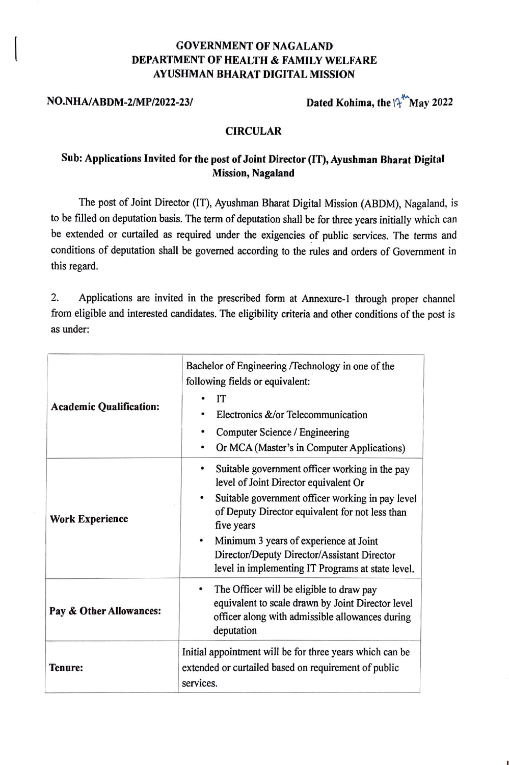### GOVERNMENT OF NAGALAND DEPARTMENT OF HEALTH & FAMILY WELFARE AYUSHMAN BHARAT DIGITAL MISSION

NO.NHA/ABDM-2/MP/2022-23/ Dated Kohima, the  $\int_{1}^{4}$  May 2022

#### **CIRCULAR**

#### **Sub: Applications Invited for the post of Joint Director (IT), Ayushman Bharat Digital Mission, Nagaland**

The post of Joint Director (IT), Ayushman Bharat Digital Mission (ABDM), Nagaland, is to be filled on deputation basis. The term of deputation shall be for three years initially which can be extended or curtailed as required under the exigencies of public services. The terms and conditions of deputation shall be governed according to the rules and orders of Government in this regard.

2. Applications are invited in the prescribed form at Annexure-1 through proper channel from eligible and interested candidates. The eligibility criteria and other conditions of the post is as under:

| <b>Academic Qualification:</b> | Bachelor of Engineering /Technology in one of the<br>following fields or equivalent:<br>IT<br>Electronics &/or Telecommunication<br>Computer Science / Engineering<br>Or MCA (Master's in Computer Applications)                                                                                                                                           |
|--------------------------------|------------------------------------------------------------------------------------------------------------------------------------------------------------------------------------------------------------------------------------------------------------------------------------------------------------------------------------------------------------|
| <b>Work Experience</b>         | Suitable government officer working in the pay<br>level of Joint Director equivalent Or<br>Suitable government officer working in pay level<br>of Deputy Director equivalent for not less than<br>five years<br>Minimum 3 years of experience at Joint<br>Director/Deputy Director/Assistant Director<br>level in implementing IT Programs at state level. |
| Pay & Other Allowances:        | The Officer will be eligible to draw pay<br>٠<br>equivalent to scale drawn by Joint Director level<br>officer along with admissible allowances during<br>deputation                                                                                                                                                                                        |
| Tenure:                        | Initial appointment will be for three years which can be<br>extended or curtailed based on requirement of public<br>services.                                                                                                                                                                                                                              |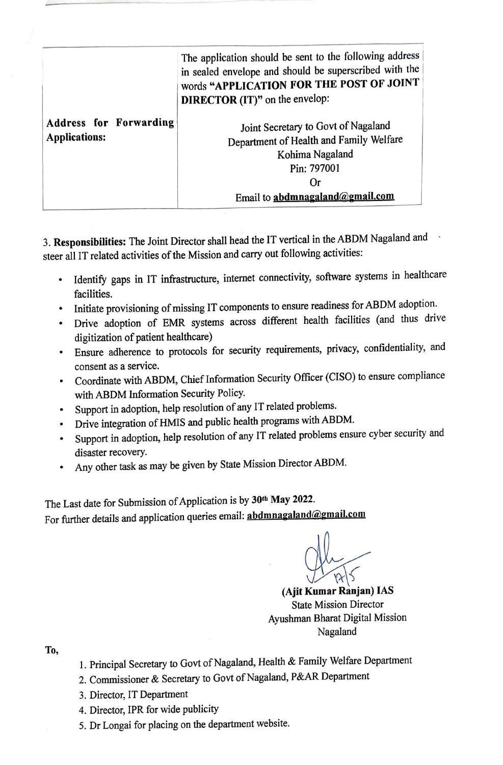|                                                       | The application should be sent to the following address<br>in sealed envelope and should be superscribed with the<br>words "APPLICATION FOR THE POST OF JOINT<br><b>DIRECTOR</b> (IT)" on the envelop: |  |  |  |  |
|-------------------------------------------------------|--------------------------------------------------------------------------------------------------------------------------------------------------------------------------------------------------------|--|--|--|--|
| <b>Address for Forwarding</b><br><b>Applications:</b> | Joint Secretary to Govt of Nagaland<br>Department of Health and Family Welfare<br>Kohima Nagaland<br>Pin: 797001<br>0r<br>Email to abdmnagaland@gmail.com                                              |  |  |  |  |

3. **Responsibilities:** The Joint Director shall head the IT vertical in the ABDM Nagaland and steer all IT related activities of the Mission and carry out following activities:

- Identify gaps in IT infrastructure, internet connectivity, software systems in healthcare facilities.
- Initiate provisioning of missing IT components to ensure readiness for ABDM adoption.
- Drive adoption of EMR systems across different health facilities (and thus drive digitization of patient healthcare)
- Ensure adherence to protocols for security requirements, privacy, confidentiality, and consent as a service.
- Coordinate with ABDM, Chief Information Security Officer (CISO) to ensure compliance with ABDM Information Security Policy.
- Support in adoption, help resolution of any IT related problems.
- Drive integration of HMIS and public health programs with ABDM.
- Support in adoption, help resolution of any IT related problems ensure cyber security and disaster recovery.
- Any other task as may be given by State Mission Director ABDM.

The Last date for Submission of Application is by **301h May 2022.**  For further details and application queries email: **abdmnagaland@gmail.com** 

**(Ajit Kumar Ranjan) IAS**  State Mission Director Ayushman Bharat Digital Mission Nagaland

**To,** 

- 1. Principal Secretary to Govt of Nagaland, Health & Family Welfare Department
- 2. Commissioner & Secretary to Govt of Nagaland, P&AR Department
- 3. Director, IT Department
- 4. Director, IPR for wide publicity
- 5. Dr Longai for placing on the department website.